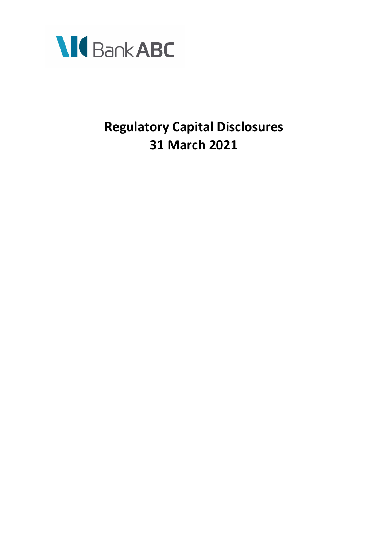

# **Regulatory Capital Disclosures 31 March 2021**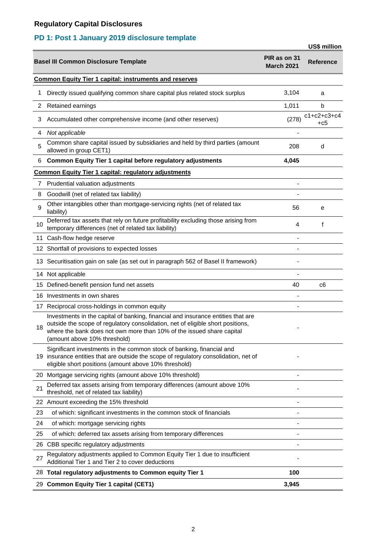## **PD 1: Post 1 January 2019 disclosure template**

|     |                                                                                                                                                                                                                                                                              |                                   | US\$ million               |
|-----|------------------------------------------------------------------------------------------------------------------------------------------------------------------------------------------------------------------------------------------------------------------------------|-----------------------------------|----------------------------|
|     | <b>Basel III Common Disclosure Template</b>                                                                                                                                                                                                                                  | PIR as on 31<br><b>March 2021</b> | <b>Reference</b>           |
|     | <b>Common Equity Tier 1 capital: instruments and reserves</b>                                                                                                                                                                                                                |                                   |                            |
| 1   | Directly issued qualifying common share capital plus related stock surplus                                                                                                                                                                                                   | 3,104                             | a                          |
| 2   | Retained earnings                                                                                                                                                                                                                                                            | 1,011                             | b                          |
| 3   | Accumulated other comprehensive income (and other reserves)                                                                                                                                                                                                                  | (278)                             | $c1 + c2 + c3 + c4$<br>+c5 |
| 4   | Not applicable                                                                                                                                                                                                                                                               |                                   |                            |
| 5   | Common share capital issued by subsidiaries and held by third parties (amount<br>allowed in group CET1)                                                                                                                                                                      | 208                               | d                          |
| 6   | Common Equity Tier 1 capital before regulatory adjustments                                                                                                                                                                                                                   | 4,045                             |                            |
|     | <b>Common Equity Tier 1 capital: regulatory adjustments</b>                                                                                                                                                                                                                  |                                   |                            |
| 7   | Prudential valuation adjustments                                                                                                                                                                                                                                             |                                   |                            |
| 8   | Goodwill (net of related tax liability)                                                                                                                                                                                                                                      |                                   |                            |
| 9   | Other intangibles other than mortgage-servicing rights (net of related tax<br>liability)                                                                                                                                                                                     | 56                                | e                          |
| 10  | Deferred tax assets that rely on future profitability excluding those arising from<br>temporary differences (net of related tax liability)                                                                                                                                   | 4                                 | f                          |
|     | 11 Cash-flow hedge reserve                                                                                                                                                                                                                                                   |                                   |                            |
|     | 12 Shortfall of provisions to expected losses                                                                                                                                                                                                                                |                                   |                            |
|     | 13 Securitisation gain on sale (as set out in paragraph 562 of Basel II framework)                                                                                                                                                                                           |                                   |                            |
|     | 14 Not applicable                                                                                                                                                                                                                                                            |                                   |                            |
|     | 15 Defined-benefit pension fund net assets                                                                                                                                                                                                                                   | 40                                | c6                         |
|     | 16 Investments in own shares                                                                                                                                                                                                                                                 |                                   |                            |
|     | 17 Reciprocal cross-holdings in common equity                                                                                                                                                                                                                                |                                   |                            |
| 18  | Investments in the capital of banking, financial and insurance entities that are<br>outside the scope of regulatory consolidation, net of eligible short positions,<br>where the bank does not own more than 10% of the issued share capital<br>(amount above 10% threshold) |                                   |                            |
| 19. | Significant investments in the common stock of banking, financial and<br>insurance entities that are outside the scope of regulatory consolidation, net of<br>eligible short positions (amount above 10% threshold)                                                          |                                   |                            |
|     | 20 Mortgage servicing rights (amount above 10% threshold)                                                                                                                                                                                                                    |                                   |                            |
| 21  | Deferred tax assets arising from temporary differences (amount above 10%<br>threshold, net of related tax liability)                                                                                                                                                         |                                   |                            |
|     | 22 Amount exceeding the 15% threshold                                                                                                                                                                                                                                        |                                   |                            |
| 23  | of which: significant investments in the common stock of financials                                                                                                                                                                                                          |                                   |                            |
| 24  | of which: mortgage servicing rights                                                                                                                                                                                                                                          |                                   |                            |
| 25  | of which: deferred tax assets arising from temporary differences                                                                                                                                                                                                             |                                   |                            |
|     | 26 CBB specific regulatory adjustments                                                                                                                                                                                                                                       |                                   |                            |
| 27  | Regulatory adjustments applied to Common Equity Tier 1 due to insufficient<br>Additional Tier 1 and Tier 2 to cover deductions                                                                                                                                               |                                   |                            |
|     | 28 Total regulatory adjustments to Common equity Tier 1                                                                                                                                                                                                                      | 100                               |                            |
|     | 29 Common Equity Tier 1 capital (CET1)                                                                                                                                                                                                                                       | 3,945                             |                            |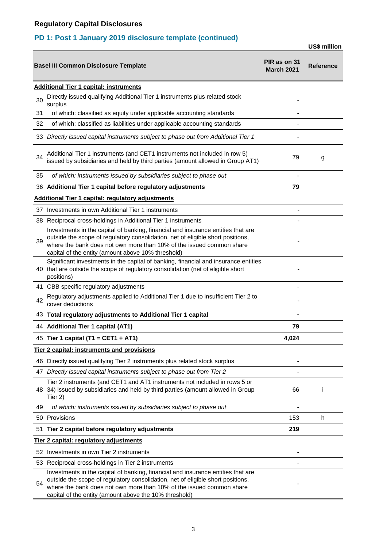## **PD 1: Post 1 January 2019 disclosure template (continued)**

**US\$ million**

| PIR as on 31<br><b>Basel III Common Disclosure Template</b> |                                                                                                                                                                                                                                                                                                       |       | <b>Reference</b> |
|-------------------------------------------------------------|-------------------------------------------------------------------------------------------------------------------------------------------------------------------------------------------------------------------------------------------------------------------------------------------------------|-------|------------------|
|                                                             | <b>Additional Tier 1 capital: instruments</b>                                                                                                                                                                                                                                                         |       |                  |
| 30                                                          | Directly issued qualifying Additional Tier 1 instruments plus related stock<br>surplus                                                                                                                                                                                                                |       |                  |
| 31                                                          | of which: classified as equity under applicable accounting standards                                                                                                                                                                                                                                  |       |                  |
| 32                                                          | of which: classified as liabilities under applicable accounting standards                                                                                                                                                                                                                             |       |                  |
|                                                             | 33 Directly issued capital instruments subject to phase out from Additional Tier 1                                                                                                                                                                                                                    |       |                  |
| 34                                                          | Additional Tier 1 instruments (and CET1 instruments not included in row 5)<br>issued by subsidiaries and held by third parties (amount allowed in Group AT1)                                                                                                                                          | 79    | g                |
| 35                                                          | of which: instruments issued by subsidiaries subject to phase out                                                                                                                                                                                                                                     |       |                  |
|                                                             | 36 Additional Tier 1 capital before regulatory adjustments                                                                                                                                                                                                                                            | 79    |                  |
|                                                             | <b>Additional Tier 1 capital: regulatory adjustments</b>                                                                                                                                                                                                                                              |       |                  |
|                                                             | 37 Investments in own Additional Tier 1 instruments                                                                                                                                                                                                                                                   |       |                  |
|                                                             | 38 Reciprocal cross-holdings in Additional Tier 1 instruments                                                                                                                                                                                                                                         |       |                  |
| 39                                                          | Investments in the capital of banking, financial and insurance entities that are<br>outside the scope of regulatory consolidation, net of eligible short positions,<br>where the bank does not own more than 10% of the issued common share<br>capital of the entity (amount above 10% threshold)     |       |                  |
|                                                             | Significant investments in the capital of banking, financial and insurance entities<br>40 that are outside the scope of regulatory consolidation (net of eligible short<br>positions)                                                                                                                 |       |                  |
|                                                             | 41 CBB specific regulatory adjustments                                                                                                                                                                                                                                                                |       |                  |
| 42                                                          | Regulatory adjustments applied to Additional Tier 1 due to insufficient Tier 2 to<br>cover deductions                                                                                                                                                                                                 |       |                  |
|                                                             | 43 Total regulatory adjustments to Additional Tier 1 capital                                                                                                                                                                                                                                          |       |                  |
|                                                             | 44 Additional Tier 1 capital (AT1)                                                                                                                                                                                                                                                                    | 79    |                  |
|                                                             | 45 Tier 1 capital (T1 = CET1 + AT1)                                                                                                                                                                                                                                                                   | 4,024 |                  |
|                                                             | <b>Tier 2 capital: instruments and provisions</b>                                                                                                                                                                                                                                                     |       |                  |
|                                                             | 46 Directly issued qualifying Tier 2 instruments plus related stock surplus                                                                                                                                                                                                                           |       |                  |
| 47                                                          | Directly issued capital instruments subject to phase out from Tier 2                                                                                                                                                                                                                                  |       |                  |
|                                                             | Tier 2 instruments (and CET1 and AT1 instruments not included in rows 5 or<br>48 34) issued by subsidiaries and held by third parties (amount allowed in Group<br>Tier 2)                                                                                                                             | 66    |                  |
| 49                                                          | of which: instruments issued by subsidiaries subject to phase out                                                                                                                                                                                                                                     |       |                  |
|                                                             | 50 Provisions                                                                                                                                                                                                                                                                                         | 153   | h.               |
|                                                             | 51 Tier 2 capital before regulatory adjustments                                                                                                                                                                                                                                                       | 219   |                  |
|                                                             | Tier 2 capital: regulatory adjustments                                                                                                                                                                                                                                                                |       |                  |
|                                                             | 52 Investments in own Tier 2 instruments                                                                                                                                                                                                                                                              |       |                  |
|                                                             | 53 Reciprocal cross-holdings in Tier 2 instruments                                                                                                                                                                                                                                                    |       |                  |
| 54                                                          | Investments in the capital of banking, financial and insurance entities that are<br>outside the scope of regulatory consolidation, net of eligible short positions,<br>where the bank does not own more than 10% of the issued common share<br>capital of the entity (amount above the 10% threshold) |       |                  |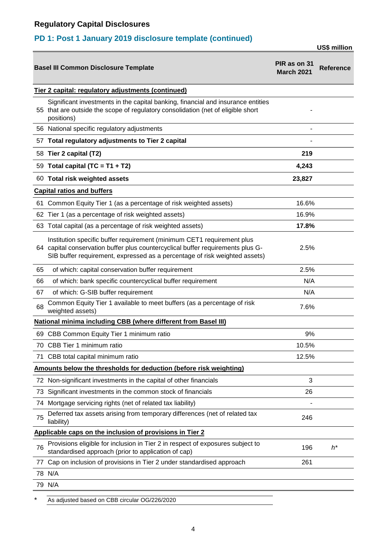## **PD 1: Post 1 January 2019 disclosure template (continued)**

**US\$ million**

|     | <b>Basel III Common Disclosure Template</b>                                                                                                                                                                                             | PIR as on 31<br><b>March 2021</b> | <b>Reference</b> |  |  |
|-----|-----------------------------------------------------------------------------------------------------------------------------------------------------------------------------------------------------------------------------------------|-----------------------------------|------------------|--|--|
|     | Tier 2 capital: regulatory adjustments (continued)                                                                                                                                                                                      |                                   |                  |  |  |
|     | Significant investments in the capital banking, financial and insurance entities<br>55 that are outside the scope of regulatory consolidation (net of eligible short<br>positions)                                                      |                                   |                  |  |  |
|     | 56 National specific regulatory adjustments                                                                                                                                                                                             |                                   |                  |  |  |
|     | 57 Total regulatory adjustments to Tier 2 capital                                                                                                                                                                                       |                                   |                  |  |  |
|     | 58 Tier 2 capital (T2)                                                                                                                                                                                                                  | 219                               |                  |  |  |
|     | 59 Total capital (TC = $T1 + T2$ )                                                                                                                                                                                                      | 4,243                             |                  |  |  |
|     | 60 Total risk weighted assets                                                                                                                                                                                                           | 23,827                            |                  |  |  |
|     | <b>Capital ratios and buffers</b>                                                                                                                                                                                                       |                                   |                  |  |  |
|     | 61 Common Equity Tier 1 (as a percentage of risk weighted assets)                                                                                                                                                                       | 16.6%                             |                  |  |  |
|     | 62 Tier 1 (as a percentage of risk weighted assets)                                                                                                                                                                                     | 16.9%                             |                  |  |  |
|     | 63 Total capital (as a percentage of risk weighted assets)                                                                                                                                                                              | 17.8%                             |                  |  |  |
|     | Institution specific buffer requirement (minimum CET1 requirement plus<br>64 capital conservation buffer plus countercyclical buffer requirements plus G-<br>SIB buffer requirement, expressed as a percentage of risk weighted assets) | 2.5%                              |                  |  |  |
| 65  | of which: capital conservation buffer requirement                                                                                                                                                                                       | 2.5%                              |                  |  |  |
| 66  | of which: bank specific countercyclical buffer requirement                                                                                                                                                                              | N/A                               |                  |  |  |
| 67  | of which: G-SIB buffer requirement                                                                                                                                                                                                      | N/A                               |                  |  |  |
| 68  | Common Equity Tier 1 available to meet buffers (as a percentage of risk<br>weighted assets)                                                                                                                                             | 7.6%                              |                  |  |  |
|     | <b>National minima including CBB (where different from Basel III)</b>                                                                                                                                                                   |                                   |                  |  |  |
|     | 69 CBB Common Equity Tier 1 minimum ratio                                                                                                                                                                                               | 9%                                |                  |  |  |
|     | 70 CBB Tier 1 minimum ratio                                                                                                                                                                                                             | 10.5%                             |                  |  |  |
|     | 71 CBB total capital minimum ratio                                                                                                                                                                                                      | 12.5%                             |                  |  |  |
|     | Amounts below the thresholds for deduction (before risk weighting)                                                                                                                                                                      |                                   |                  |  |  |
|     | 72 Non-significant investments in the capital of other financials                                                                                                                                                                       | 3                                 |                  |  |  |
| 73. | Significant investments in the common stock of financials                                                                                                                                                                               | 26                                |                  |  |  |
|     | 74 Mortgage servicing rights (net of related tax liability)                                                                                                                                                                             |                                   |                  |  |  |
| 75  | Deferred tax assets arising from temporary differences (net of related tax<br>liability)                                                                                                                                                | 246                               |                  |  |  |
|     | Applicable caps on the inclusion of provisions in Tier 2                                                                                                                                                                                |                                   |                  |  |  |
| 76  | Provisions eligible for inclusion in Tier 2 in respect of exposures subject to<br>standardised approach (prior to application of cap)                                                                                                   | 196                               | $h^*$            |  |  |
|     | 77 Cap on inclusion of provisions in Tier 2 under standardised approach                                                                                                                                                                 | 261                               |                  |  |  |
|     | 78 N/A                                                                                                                                                                                                                                  |                                   |                  |  |  |
|     | 79 N/A                                                                                                                                                                                                                                  |                                   |                  |  |  |
|     |                                                                                                                                                                                                                                         |                                   |                  |  |  |

As adjusted based on CBB circular OG/226/2020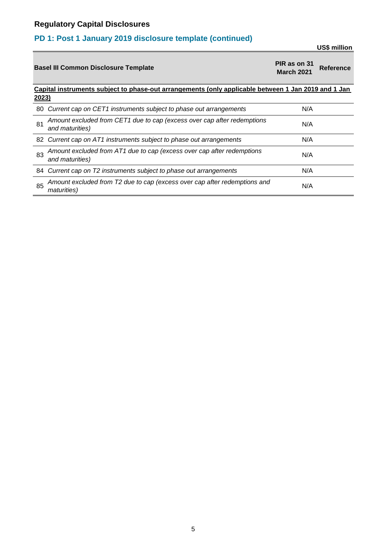## **PD 1: Post 1 January 2019 disclosure template (continued)**

**US\$ million**

|       | <b>Basel III Common Disclosure Template</b>                                                         | PIR as on 31<br><b>March 2021</b> | <b>Reference</b> |
|-------|-----------------------------------------------------------------------------------------------------|-----------------------------------|------------------|
|       | Capital instruments subject to phase-out arrangements (only applicable between 1 Jan 2019 and 1 Jan |                                   |                  |
| 2023) |                                                                                                     |                                   |                  |
| 80    | Current cap on CET1 instruments subject to phase out arrangements                                   | N/A                               |                  |
| 81    | Amount excluded from CET1 due to cap (excess over cap after redemptions<br>and maturities)          | N/A                               |                  |
|       | 82 Current cap on AT1 instruments subject to phase out arrangements                                 | N/A                               |                  |
| 83    | Amount excluded from AT1 due to cap (excess over cap after redemptions<br>and maturities)           | N/A                               |                  |
|       | 84 Current cap on T2 instruments subject to phase out arrangements                                  | N/A                               |                  |
| 85    | Amount excluded from T2 due to cap (excess over cap after redemptions and<br><i>maturities</i> )    | N/A                               |                  |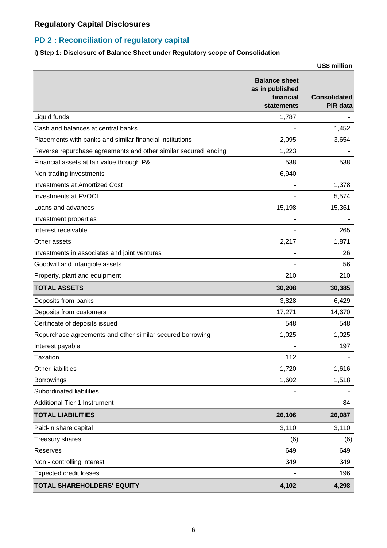### **PD 2 : Reconciliation of regulatory capital**

#### **i) Step 1: Disclosure of Balance Sheet under Regulatory scope of Consolidation**

|                                                                 |                                                                           | <b>US\$ million</b>                    |
|-----------------------------------------------------------------|---------------------------------------------------------------------------|----------------------------------------|
|                                                                 | <b>Balance sheet</b><br>as in published<br>financial<br><b>statements</b> | <b>Consolidated</b><br><b>PIR</b> data |
| Liquid funds                                                    | 1,787                                                                     |                                        |
| Cash and balances at central banks                              |                                                                           | 1,452                                  |
| Placements with banks and similar financial institutions        | 2,095                                                                     | 3,654                                  |
| Reverse repurchase agreements and other similar secured lending | 1,223                                                                     |                                        |
| Financial assets at fair value through P&L                      | 538                                                                       | 538                                    |
| Non-trading investments                                         | 6,940                                                                     |                                        |
| <b>Investments at Amortized Cost</b>                            |                                                                           | 1,378                                  |
| <b>Investments at FVOCI</b>                                     |                                                                           | 5,574                                  |
| Loans and advances                                              | 15,198                                                                    | 15,361                                 |
| Investment properties                                           |                                                                           |                                        |
| Interest receivable                                             |                                                                           | 265                                    |
| Other assets                                                    | 2,217                                                                     | 1,871                                  |
| Investments in associates and joint ventures                    |                                                                           | 26                                     |
| Goodwill and intangible assets                                  |                                                                           | 56                                     |
| Property, plant and equipment                                   | 210                                                                       | 210                                    |
| <b>TOTAL ASSETS</b>                                             | 30,208                                                                    | 30,385                                 |
| Deposits from banks                                             | 3,828                                                                     | 6,429                                  |
| Deposits from customers                                         | 17,271                                                                    | 14,670                                 |
| Certificate of deposits issued                                  | 548                                                                       | 548                                    |
| Repurchase agreements and other similar secured borrowing       | 1,025                                                                     | 1,025                                  |
| Interest payable                                                |                                                                           | 197                                    |
| <b>Taxation</b>                                                 | 112                                                                       |                                        |
| Other liabilities                                               | 1,720                                                                     | 1,616                                  |
| <b>Borrowings</b>                                               | 1,602                                                                     | 1,518                                  |
| Subordinated liabilities                                        |                                                                           |                                        |
| <b>Additional Tier 1 Instrument</b>                             |                                                                           | 84                                     |
| <b>TOTAL LIABILITIES</b>                                        | 26,106                                                                    | 26,087                                 |
| Paid-in share capital                                           | 3,110                                                                     | 3,110                                  |
| Treasury shares                                                 | (6)                                                                       | (6)                                    |
| Reserves                                                        | 649                                                                       | 649                                    |
| Non - controlling interest                                      | 349                                                                       | 349                                    |
| <b>Expected credit losses</b>                                   |                                                                           | 196                                    |
| TOTAL SHAREHOLDERS' EQUITY                                      | 4,102                                                                     | 4,298                                  |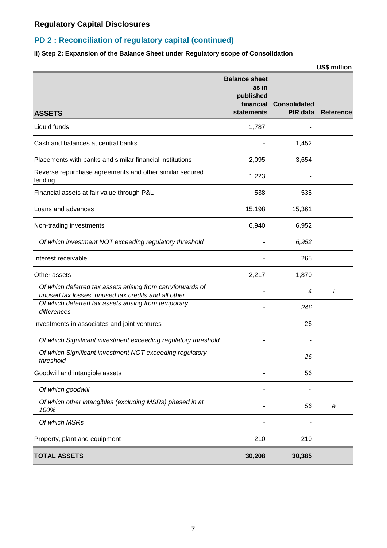### **PD 2 : Reconciliation of regulatory capital (continued)**

#### **ii) Step 2: Expansion of the Balance Sheet under Regulatory scope of Consolidation**

|                                                                                                                   |                                                                              |                                 | US\$ million     |
|-------------------------------------------------------------------------------------------------------------------|------------------------------------------------------------------------------|---------------------------------|------------------|
| <b>ASSETS</b>                                                                                                     | <b>Balance sheet</b><br>as in<br>published<br>financial<br><b>statements</b> | <b>Consolidated</b><br>PIR data | <b>Reference</b> |
| Liquid funds                                                                                                      | 1,787                                                                        |                                 |                  |
| Cash and balances at central banks                                                                                |                                                                              | 1,452                           |                  |
| Placements with banks and similar financial institutions                                                          | 2,095                                                                        | 3,654                           |                  |
| Reverse repurchase agreements and other similar secured<br>lending                                                | 1,223                                                                        |                                 |                  |
| Financial assets at fair value through P&L                                                                        | 538                                                                          | 538                             |                  |
| Loans and advances                                                                                                | 15,198                                                                       | 15,361                          |                  |
| Non-trading investments                                                                                           | 6,940                                                                        | 6,952                           |                  |
| Of which investment NOT exceeding regulatory threshold                                                            |                                                                              | 6,952                           |                  |
| Interest receivable                                                                                               |                                                                              | 265                             |                  |
| Other assets                                                                                                      | 2,217                                                                        | 1,870                           |                  |
| Of which deferred tax assets arising from carryforwards of<br>unused tax losses, unused tax credits and all other |                                                                              | 4                               | f                |
| Of which deferred tax assets arising from temporary<br>differences                                                |                                                                              | 246                             |                  |
| Investments in associates and joint ventures                                                                      |                                                                              | 26                              |                  |
| Of which Significant investment exceeding regulatory threshold                                                    |                                                                              |                                 |                  |
| Of which Significant investment NOT exceeding regulatory<br>threshold                                             |                                                                              | 26                              |                  |
| Goodwill and intangible assets                                                                                    |                                                                              | 56                              |                  |
| Of which goodwill                                                                                                 |                                                                              |                                 |                  |
| Of which other intangibles (excluding MSRs) phased in at<br>100%                                                  |                                                                              | 56                              | е                |
| Of which MSRs                                                                                                     |                                                                              |                                 |                  |
| Property, plant and equipment                                                                                     | 210                                                                          | 210                             |                  |
| <b>TOTAL ASSETS</b>                                                                                               | 30,208                                                                       | 30,385                          |                  |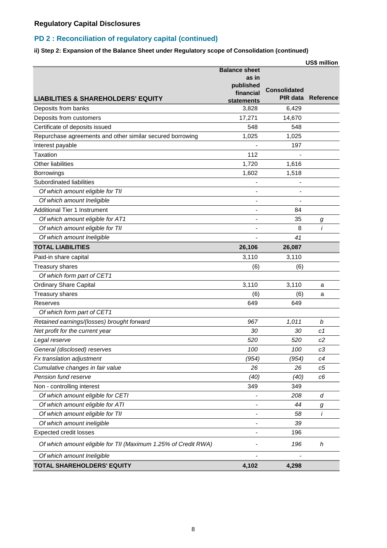#### **PD 2 : Reconciliation of regulatory capital (continued)**

**ii) Step 2: Expansion of the Balance Sheet under Regulatory scope of Consolidation (continued)**

|                                                                |                                                                       |                                        | US\$ million     |
|----------------------------------------------------------------|-----------------------------------------------------------------------|----------------------------------------|------------------|
| <b>LIABILITIES &amp; SHAREHOLDERS' EQUITY</b>                  | <b>Balance sheet</b><br>as in<br>published<br>financial<br>statements | <b>Consolidated</b><br><b>PIR data</b> | <b>Reference</b> |
| Deposits from banks                                            | 3,828                                                                 | 6,429                                  |                  |
| Deposits from customers                                        | 17,271                                                                | 14,670                                 |                  |
| Certificate of deposits issued                                 | 548                                                                   | 548                                    |                  |
| Repurchase agreements and other similar secured borrowing      | 1,025                                                                 | 1,025                                  |                  |
| Interest payable                                               |                                                                       | 197                                    |                  |
| Taxation                                                       | 112                                                                   |                                        |                  |
| Other liabilities                                              | 1,720                                                                 | 1,616                                  |                  |
| <b>Borrowings</b>                                              | 1,602                                                                 | 1,518                                  |                  |
| Subordinated liabilities                                       |                                                                       |                                        |                  |
| Of which amount eligible for TII                               | $\overline{a}$                                                        |                                        |                  |
| Of which amount Ineligible                                     | -                                                                     |                                        |                  |
| <b>Additional Tier 1 Instrument</b>                            |                                                                       | 84                                     |                  |
| Of which amount eligible for AT1                               |                                                                       | 35                                     | g                |
| Of which amount eligible for TII                               |                                                                       | 8                                      | i                |
| Of which amount Ineligible                                     |                                                                       | 41                                     |                  |
| <b>TOTAL LIABILITIES</b>                                       | 26,106                                                                | 26,087                                 |                  |
| Paid-in share capital                                          | 3,110                                                                 | 3,110                                  |                  |
| Treasury shares                                                | (6)                                                                   | (6)                                    |                  |
| Of which form part of CET1                                     |                                                                       |                                        |                  |
| <b>Ordinary Share Capital</b>                                  | 3,110                                                                 | 3,110                                  | a                |
| <b>Treasury shares</b>                                         | (6)                                                                   | (6)                                    | a                |
| Reserves                                                       | 649                                                                   | 649                                    |                  |
| Of which form part of CET1                                     |                                                                       |                                        |                  |
| Retained earnings/(losses) brought forward                     | 967                                                                   | 1,011                                  | b                |
| Net profit for the current year                                | 30                                                                    | 30                                     | c1               |
| Legal reserve                                                  | 520                                                                   | 520                                    | c2               |
| General (disclosed) reserves                                   | 100                                                                   | 100                                    | c3               |
| Fx translation adjustment                                      | (954)                                                                 | (954)                                  | c4               |
| Cumulative changes in fair value                               | 26                                                                    | 26                                     | c5               |
| Pension fund reserve                                           | (40)                                                                  | (40)                                   | c6               |
| Non - controlling interest                                     | 349                                                                   | 349                                    |                  |
| Of which amount eligible for CETI                              |                                                                       | 208                                    | d                |
| Of which amount eligible for ATI                               |                                                                       | 44                                     | g                |
| Of which amount eligible for TII                               |                                                                       | 58                                     | i                |
| Of which amount ineligible                                     | -                                                                     | 39                                     |                  |
| <b>Expected credit losses</b>                                  |                                                                       | 196                                    |                  |
| Of which amount eligible for TII (Maximum 1.25% of Credit RWA) |                                                                       | 196                                    | h                |
| Of which amount Ineligible                                     |                                                                       |                                        |                  |
| TOTAL SHAREHOLDERS' EQUITY                                     | 4,102                                                                 | 4,298                                  |                  |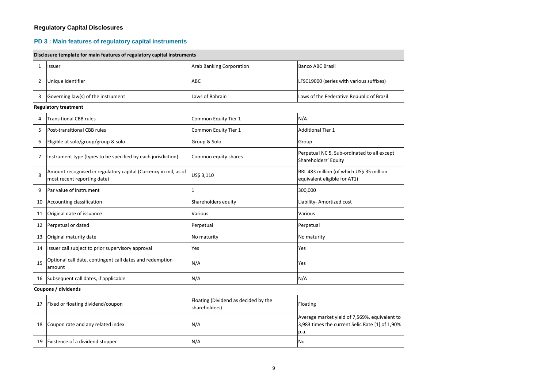#### **PD 3 : Main features of regulatory capital instruments**

#### **Disclosure template for main features of regulatory capital instruments**

| 1  | Issuer                                                                                         | <b>Arab Banking Corporation</b>                       | <b>Banco ABC Brasil</b>                                                                                  |  |  |  |
|----|------------------------------------------------------------------------------------------------|-------------------------------------------------------|----------------------------------------------------------------------------------------------------------|--|--|--|
| 2  | Unique identifier                                                                              | <b>ABC</b>                                            | LFSC19000 (series with various suffixes)                                                                 |  |  |  |
| 3  | Governing law(s) of the instrument                                                             | Laws of Bahrain                                       | Laws of the Federative Republic of Brazil                                                                |  |  |  |
|    | <b>Regulatory treatment</b>                                                                    |                                                       |                                                                                                          |  |  |  |
| 4  | <b>Transitional CBB rules</b>                                                                  | Common Equity Tier 1                                  | N/A                                                                                                      |  |  |  |
| 5  | Post-transitional CBB rules                                                                    | Common Equity Tier 1                                  | <b>Additional Tier 1</b>                                                                                 |  |  |  |
| 6  | Eligible at solo/group/group & solo                                                            | Group & Solo                                          | Group                                                                                                    |  |  |  |
| 7  | Instrument type (types to be specified by each jurisdiction)                                   | Common equity shares                                  | Perpetual NC 5, Sub-ordinated to all except<br>Shareholders' Equity                                      |  |  |  |
| 8  | Amount recognised in regulatory capital (Currency in mil, as of<br>most recent reporting date) | US\$ 3,110                                            | BRL 483 million (of which US\$ 35 million<br>equivalent eligible for AT1)                                |  |  |  |
| 9  | Par value of instrument                                                                        | $\mathbf{1}$                                          | 300,000                                                                                                  |  |  |  |
| 10 | Accounting classification                                                                      | Shareholders equity                                   | Liability- Amortized cost                                                                                |  |  |  |
| 11 | Original date of issuance                                                                      | Various                                               | Various                                                                                                  |  |  |  |
| 12 | Perpetual or dated                                                                             | Perpetual                                             | Perpetual                                                                                                |  |  |  |
| 13 | Original maturity date                                                                         | No maturity                                           | No maturity                                                                                              |  |  |  |
| 14 | Issuer call subject to prior supervisory approval                                              | Yes                                                   | Yes                                                                                                      |  |  |  |
| 15 | Optional call date, contingent call dates and redemption<br>amount                             | N/A                                                   | Yes                                                                                                      |  |  |  |
| 16 | Subsequent call dates, if applicable                                                           | N/A                                                   | N/A                                                                                                      |  |  |  |
|    | Coupons / dividends                                                                            |                                                       |                                                                                                          |  |  |  |
| 17 | Fixed or floating dividend/coupon                                                              | Floating (Dividend as decided by the<br>shareholders) | Floating                                                                                                 |  |  |  |
| 18 | Coupon rate and any related index                                                              | N/A                                                   | Average market yield of 7,569%, equivalent to<br>3,983 times the current Selic Rate [1] of 1,90%<br>p.a. |  |  |  |
| 19 | Existence of a dividend stopper                                                                | N/A                                                   | No                                                                                                       |  |  |  |